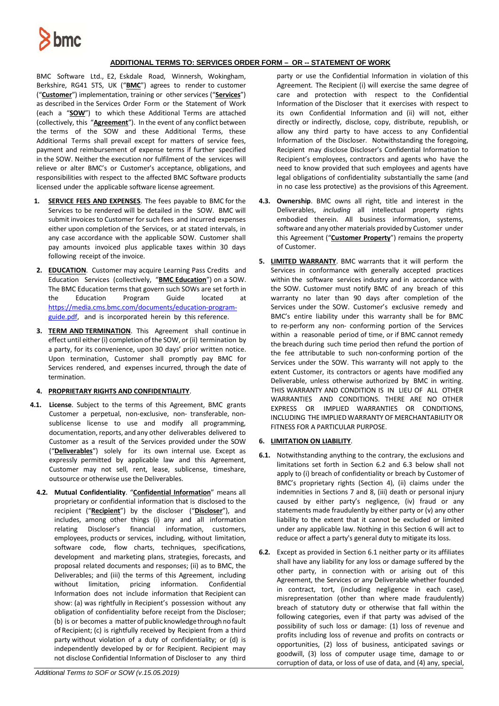

## **ADDITIONAL TERMS TO: SERVICES ORDER FORM – OR -- STATEMENT OF WORK**

BMC Software Ltd., E2, Eskdale Road, Winnersh, Wokingham, Berkshire, RG41 5TS, UK ("**BMC**") agrees to render to customer ("**Customer**") implementation, training or other services ("**Services**") as described in the Services Order Form or the Statement of Work (each a "**SOW**") to which these Additional Terms are attached (collectively, this "**Agreement**"). In the event of any conflict between the terms of the SOW and these Additional Terms, these Additional Terms shall prevail except for matters of service fees, payment and reimbursement of expense terms if further specified in the SOW. Neither the execution nor fulfilment of the services will relieve or alter BMC's or Customer's acceptance, obligations, and responsibilities with respect to the affected BMC Software products licensed under the applicable software license agreement.

- **1. SERVICE FEES AND EXPENSES**. The fees payable to BMC for the Services to be rendered will be detailed in the SOW. BMC will submit invoices to Customer for such fees and incurred expenses either upon completion of the Services, or at stated intervals, in any case accordance with the applicable SOW. Customer shall pay amounts invoiced plus applicable taxes within 30 days following receipt of the invoice.
- **2. EDUCATION**. Customer may acquire Learning Pass Credits and Education Services (collectively, "**BMC Education**") on a SOW. The BMC Education terms that govern such SOWs are set forth in the Education Program Guide located at [https://media.cms.bmc.com/documents/education-program](https://media.cms.bmc.com/documents/education-program-guide.pdf)[guide.pdf,](https://media.cms.bmc.com/documents/education-program-guide.pdf) and is incorporated herein by this reference.
- **3. TERM AND TERMINATION**.This Agreement shall continue in effect until either (i) completion of the SOW, or (ii) termination by a party, for its convenience, upon 30 days' prior written notice. Upon termination, Customer shall promptly pay BMC for Services rendered, and expenses incurred, through the date of termination.

## **4. PROPRIETARY RIGHTS AND CONFIDENTIALITY**.

- **4.1. License**. Subject to the terms of this Agreement, BMC grants Customer a perpetual, non-exclusive, non- transferable, nonsublicense license to use and modify all programming, documentation, reports, and any other deliverables delivered to Customer as a result of the Services provided under the SOW ("**Deliverables**") solely for its own internal use. Except as expressly permitted by applicable law and this Agreement, Customer may not sell, rent, lease, sublicense, timeshare, outsource or otherwise use the Deliverables.
	- **4.2. Mutual Confidentiality**. "**Confidential Information**" means all proprietary or confidential information that is disclosed to the recipient ("**Recipient**") by the discloser ("**Discloser**"), and includes, among other things (i) any and all information relating Discloser's financial information, customers, employees, products or services, including, without limitation, software code, flow charts, techniques, specifications, development and marketing plans, strategies, forecasts, and proposal related documents and responses; (ii) as to BMC, the Deliverables; and (iii) the terms of this Agreement, including without limitation, pricing information. Confidential Information does not include information that Recipient can show: (a) was rightfully in Recipient's possession without any obligation of confidentiality before receipt from the Discloser; (b) is or becomes a matter of public knowledge through no fault of Recipient; (c) is rightfully received by Recipient from a third party without violation of a duty of confidentiality; or (d) is independently developed by or for Recipient. Recipient may not disclose Confidential Information of Discloser to any third

party or use the Confidential Information in violation of this Agreement. The Recipient (i) will exercise the same degree of care and protection with respect to the Confidential Information of the Discloser that it exercises with respect to its own Confidential Information and (ii) will not, either directly or indirectly, disclose, copy, distribute, republish, or allow any third party to have access to any Confidential Information of the Discloser. Notwithstanding the foregoing, Recipient may disclose Discloser's Confidential Information to Recipient's employees, contractors and agents who have the need to know provided that such employees and agents have legal obligations of confidentiality substantially the same (and in no case less protective) as the provisions of this Agreement.

- **4.3. Ownership**. BMC owns all right, title and interest in the Deliverables, *including* all intellectual property rights embodied therein. All business information, systems, software and any other materials provided by Customer under this Agreement ("**Customer Property**") remains the property of Customer.
- **5. LIMITED WARRANTY**. BMC warrants that it will perform the Services in conformance with generally accepted practices within the software services industry and in accordance with the SOW. Customer must notify BMC of any breach of this warranty no later than 90 days after completion of the Services under the SOW. Customer's exclusive remedy and BMC's entire liability under this warranty shall be for BMC to re-perform any non- conforming portion of the Services within a reasonable period of time, or if BMC cannot remedy the breach during such time period then refund the portion of the fee attributable to such non-conforming portion of the Services under the SOW. This warranty will not apply to the extent Customer, its contractors or agents have modified any Deliverable, unless otherwise authorized by BMC in writing. THIS WARRANTY AND CONDITION IS IN LIEU OF ALL OTHER WARRANTIES AND CONDITIONS. THERE ARE NO OTHER EXPRESS OR IMPLIED WARRANTIES OR CONDITIONS, INCLUDING THE IMPLIED WARRANTY OF MERCHANTABILITY OR FITNESS FOR A PARTICULAR PURPOSE.

## **6. LIMITATION ON LIABILITY**.

- **6.1.** Notwithstanding anything to the contrary, the exclusions and limitations set forth in Section 6.2 and 6.3 below shall not apply to (i) breach of confidentiality or breach by Customer of BMC's proprietary rights (Section 4), (ii) claims under the indemnities in Sections 7 and 8, (iii) death or personal injury caused by either party's negligence, (iv) fraud or any statements made fraudulently by either party or (v) any other liability to the extent that it cannot be excluded or limited under any applicable law. Nothing in this Section 6 will act to reduce or affect a party's general duty to mitigate its loss.
- **6.2.** Except as provided in Section 6.1 neither party or its affiliates shall have any liability for any loss or damage suffered by the other party, in connection with or arising out of this Agreement, the Services or any Deliverable whether founded in contract, tort, (including negligence in each case), misrepresentation (other than where made fraudulently) breach of statutory duty or otherwise that fall within the following categories, even if that party was advised of the possibility of such loss or damage: (1) loss of revenue and profits including loss of revenue and profits on contracts or opportunities, (2) loss of business, anticipated savings or goodwill, (3) loss of computer usage time, damage to or corruption of data, or loss of use of data, and (4) any, special,